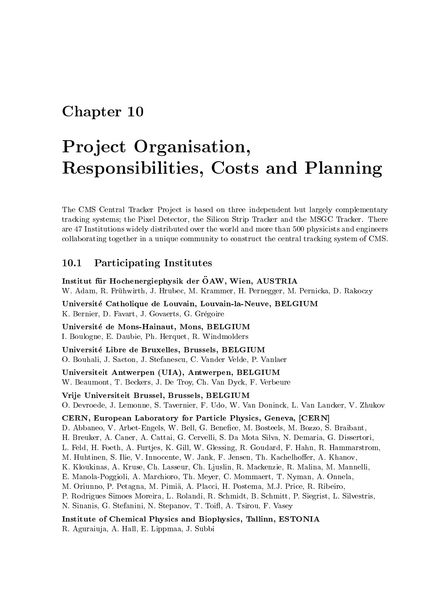## Chapter <sup>10</sup>

# Pro ject Organisation, Responsibilities, Costs and Planning

The CMS Central Tracker Project is based on three independent but largely complementary tracking systems; the Pixel Detector, the Silicon Strip Tracker and the MSGC Tracker. There are 47 Institutions widely distributed over the world and more than 500 physicists and engineers collaborating together in a unique community to construct the central tracking system of CMS.

#### 10.1Participating Institutes

Institut für Hochenergiephysik der ÖAW, Wien, AUSTRIA W. Adam, R. Fruhwirth, J. Hrubec, M. Krammer, H. Pernegger, M. Pernicka, D. Rakoczy

Universite Catholique de Louvain, Louvain-la-Neuve, BELGIUM K. Bernier, D. Favart, J. Govaerts, G. Grégoire

Universite de Mons-Hainaut, Mons, BELGIUM I. Boulogne, E. Daubie, Ph. Herquet, R. Windmolders

Universite Libre de Bruxelles, Brussels, BELGIUM O. Bouhali, J. Sacton, J. Stefanescu, C. Vander Velde, P. Vanlaer

Universiteit Antwerpen (UIA), Antwerpen, BELGIUM W. Beaumont, T. Beckers, J. De Troy, Ch. Van Dyck, F. Verbeure

Vrije Universiteit Brussel, Brussels, BELGIUM O. Devroede, J. Lemonne, S. Tavernier, F. Udo, W. Van Doninck, L. Van Lancker, V. Zhukov

CERN, European Laboratory for Particle Physics, Geneva, [CERN]

D. Abbaneo, V. Arbet-Engels, W. Bell, G. Benefice, M. Bosteels, M. Bozzo, S. Braibant,

H. Breuker, A. Caner, A. Cattai, G. Cervelli, S. Da Mota Silva, N. Demaria, G. Dissertori,

L. Feld, H. Foeth, A. Furtjes, K. Gill, W. Glessing, R. Goudard, F. Hahn, R. Hammarstrom,

M. Huhtinen, S. Ilie, V. Innocente, W. Jank, F. Jensen, Th. Kachelhoffer, A. Khanov,

K. Kloukinas, A. Kruse, Ch. Lasseur, Ch. Ljuslin, R. Mackenzie, R. Malina, M. Mannelli,

E. Manola-Poggioli, A. Marchioro, Th. Meyer, C. Mommaert, T. Nyman, A. Onnela,

M. Oriunno, P. Petagna, M. Pimia, A. Placci, H. Postema, M.J. Price, R. Ribeiro,

P. Rodrigues Simoes Moreira, L. Rolandi, R. Schmidt, B. Schmitt, P. Siegrist, L. Silvestris,

N. Sinanis, G. Stefanini, N. Stepanov, T. Toifl, A. Tsirou, F. Vasey

Institute of Chemical Physics and Biophysics, Tallinn, ESTONIA R. Aguraiuja, A. Hall, E. Lippmaa, J. Subbi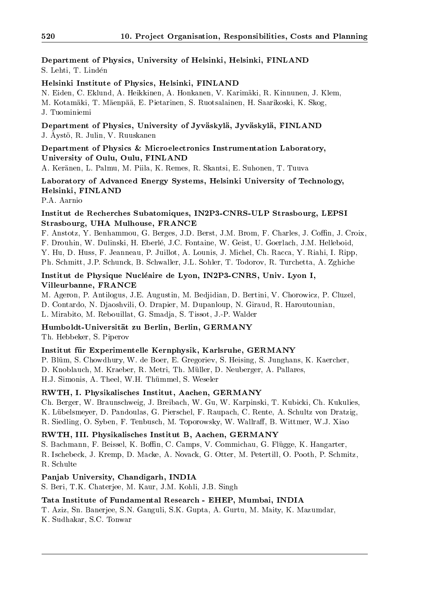Department of Physics, University of Helsinki, Helsinki, FINLAND S. Lehti, T. Linden

#### Helsinki Institute of Physics, Helsinki, FINLAND

N. Eiden, C. Eklund, A. Heikkinen, A. Honkanen, V. Karimaki, R. Kinnunen, J. Klem, M. Kotamaki, T. Maenpaa, E. Pietarinen, S. Ruotsalainen, H. Saarikoski, K. Skog, J. Tuominiemi

Department of Physics, University of Jyvaskyla, Jyvaskyla, FINLAND J. Aysto, R. Julii, V. Ruuskanen

#### Department of Physics & Microelectronics Instrumentation Laboratory, University of Oulu, Oulu, FINLAND

A. Keranen, L. Palmu, M. Piila, K. Remes, R. Skantsi, E. Suhonen, T. Tuuva

Laboratory of Advanced Energy Systems, Helsinki University of Technology, Helsinki, FINLAND

P.A. Aarnio

#### Institut de Recherches Subatomiques, IN2P3-CNRS-ULP Strasbourg, LEPSI Strasbourg, UHA Mulhouse, FRANCE

F. Anstotz, Y. Benhammou, G. Berges, J.D. Berst, J.M. Brom, F. Charles, J. Coffin, J. Croix, F. Drouhin, W. Dulinski, H. Eberle, J.C. Fontaine, W. Geist, U. Goerlach, J.M. Helleboid, Y. Hu, D. Huss, F. Jeanneau, P. Juillot, A. Lounis, J. Michel, Ch. Racca, Y. Riahi, I. Ripp, Ph. Schmitt, J.P. Schunck, B. Schwaller, J.L. Sohler, T. Todorov, R. Turchetta, A. Zghiche

### Institut de Physique Nucleaire de Lyon, IN2P3-CNRS, Univ. Lyon I, Villeurbanne, FRANCE

M. Ageron, P. Antilogus, J.E. Augustin, M. Bedjidian, D. Bertini, V. Chorowicz, P. Cluzel, D. Contardo, N. Djaoshvili, O. Drapier, M. Dupanloup, N. Giraud, R. Haroutounian, L. Mirabito, M. Rebouillat, G. Smadja, S. Tissot, J.-P. Walder

### Humboldt-Universitat zu Berlin, Berlin, GERMANY

Th. Hebbeker, S. Piperov

#### Institut fur Experimentelle Kernphysik, Karlsruhe, GERMANY

P. Blum, S. Chowdhury, W. de Boer, E. Gregoriev, S. Heising, S. Junghans, K. Kaercher, D. Knoblauch, M. Kraeber, R. Metri, Th. Muller, D. Neuberger, A. Pallares, H.J. Simonis, A. Theel, W.H. Thummel, S. Weseler

### RWTH, I. Physikalisches Institut, Aachen, GERMANY

Ch. Berger, W. Braunschweig, J. Breibach, W. Gu, W. Karpinski, T. Kubicki, Ch. Kukulies, K. Lübelsmeyer, D. Pandoulas, G. Pierschel, F. Raupach, C. Rente, A. Schultz von Dratzig, R. Siedling, O. Syben, F. Tenbusch, M. Toporowsky, W. Wallraff, B. Wittmer, W.J. Xiao

### RWTH, III. Physikalisches Institut B, Aachen, GERMANY

S. Bachmann, F. Beissel, K. Boffin, C. Camps, V. Commichau, G. Flügge, K. Hangarter, R. Ischebeck, J. Kremp, D. Macke, A. Novack, G. Otter, M. Petertill, O. Pooth, P. Schmitz, R. Schulte

#### Panjab University, Chandigarh, INDIA

S. Beri, T.K. Chaterjee, M. Kaur, J.M. Kohli, J.B. Singh

### Tata Institute of Fundamental Research - EHEP, Mumbai, INDIA

T. Aziz, Sn. Banerjee, S.N. Ganguli, S.K. Gupta, A. Gurtu, M. Maity, K. Mazumdar,

K. Sudhakar, S.C. Tonwar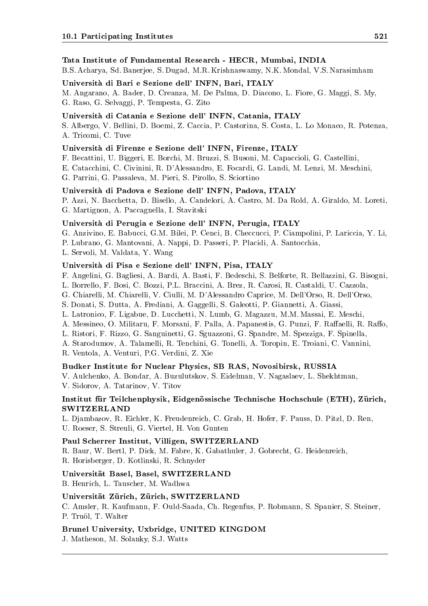#### Tata Institute of Fundamental Research - HECR, Mumbai, INDIA

B.S. Acharya, Sd. Banerjee, S. Dugad, M.R. Krishnaswamy, N.K. Mondal, V.S. Narasimham

#### Universita di Bari e Sezione dell' INFN, Bari, ITALY

M. Angarano, A. Bader, D. Creanza, M. De Palma, D. Diacono, L. Fiore, G. Maggi, S. My, G. Raso, G. Selvaggi, P. Tempesta, G. Zito

#### Universita di Catania e Sezione dell' INFN, Catania, ITALY

S. Albergo, V. Bellini, D. Boemi, Z. Caccia, P. Castorina, S. Costa, L. Lo Monaco, R. Potenza, A. Tricomi, C. Tuve

### Universita di Firenze e Sezione dell' INFN, Firenze, ITALY

F. Becattini, U. Biggeri, E. Borchi, M. Bruzzi, S. Busoni, M. Capaccioli, G. Castellini,

E. Catacchini, C. Civinini, R. D'Alessandro, E. Focardi, G. Landi, M. Lenzi, M. Meschini,

G. Parrini, G. Passaleva, M. Pieri, S. Pirollo, S. Sciortino

#### Universita di Padova e Sezione dell' INFN, Padova, ITALY

P. Azzi, N. Bacchetta, D. Bisello, A. Candelori, A. Castro, M. Da Rold, A. Giraldo, M. Loreti, G. Martignon, A. Paccagnella, I. Stavitski

#### Universita di Perugia e Sezione dell' INFN, Perugia, ITALY

G. Anzivino, E. Babucci, G.M. Bilei, P. Cenci, B. Checcucci, P. Ciampolini, P. Lariccia, Y. Li,

P. Lubrano, G. Mantovani, A. Nappi, D. Passeri, P. Placidi, A. Santocchia,

L. Servoli, M. Valdata, Y. Wang

#### Universita di Pisa e Sezione dell' INFN, Pisa, ITALY

F. Angelini, G. Bagliesi, A. Bardi, A. Basti, F. Bedeschi, S. Belforte, R. Bellazzini, G. Bisogni,

L. Borrello, F. Bosi, C. Bozzi, P.L. Braccini, A. Brez, R. Carosi, R. Castaldi, U. Cazzola,

G. Chiarelli, M. Chiarelli, V. Ciulli, M. D'Alessandro Caprice, M. Dell'Orso, R. Dell'Orso,

S. Donati, S. Dutta, A. Frediani, A. Gaggelli, S. Galeotti, P. Giannetti, A. Giassi,

- L. Latronico, F. Ligabue, D. Lucchetti, N. Lumb, G. Magazzu, M.M. Massai, E. Meschi,
- A. Messineo, O. Militaru, F. Morsani, F. Palla, A. Papanestis, G. Punzi, F. Raffaelli, R. Raffo,

L. Ristori, F. Rizzo, G. Sanguinetti, G. Sguazzoni, G. Spandre, M. Spezziga, F. Spinella,

A. Starodumov, A. Talamelli, R. Tenchini, G. Tonelli, A. Toropin, E. Troiani, C. Vannini,

R. Ventola, A. Venturi, P.G. Verdini, Z. Xie

#### Budker Institute for Nuclear Physics, SB RAS, Novosibirsk, RUSSIA

V. Aulchenko, A. Bondar, A. Buzulutskov, S. Eidelman, V. Nagaslaev, L. Shekhtman, V. Sidorov, A. Tatarinov, V. Titov

#### Institut für Teilchenphysik, Eidgenössische Technische Hochschule (ETH), Zürich, SWITZERLAND

L. Djambazov, R. Eichler, K. Freudenreich, C. Grab, H. Hofer, F. Pauss, D. Pitzl, D. Ren, U. Roeser, S. Streuli, G. Viertel, H. Von Gunten

#### Paul Scherrer Institut, Villigen, SWITZERLAND

R. Baur, W. Bertl, P. Dick, M. Fabre, K. Gabathuler, J. Gobrecht, G. Heidenreich, R. Horisberger, D. Kotlinski, R. Schnyder

### Universitat Basel, Basel, SWITZERLAND

B. Henrich, L. Tauscher, M. Wadhwa

#### Universität Zürich, Zürich, SWITZERLAND

C. Amsler, R. Kaufmann, F. Ould-Saada, Ch. Regenfus, P. Robmann, S. Spanier, S. Steiner, P. Truöl, T. Walter

#### Brunel University, Uxbridge, UNITED KINGDOM

J. Matheson, M. Solanky, S.J. Watts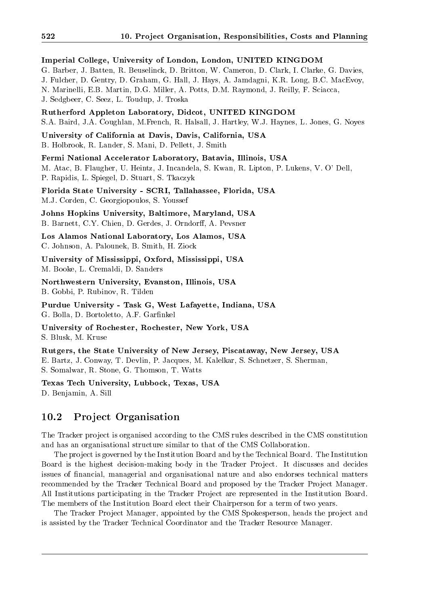Imperial College, University of London, London, UNITED KINGDOM G. Barber, J. Batten, R. Beuselinck, D. Britton, W. Cameron, D. Clark, I. Clarke, G. Davies, J. Fulcher, D. Gentry, D. Graham, G. Hall, J. Hays, A. Jamdagni, K.R. Long, B.C. MacEvoy, N. Marinelli, E.B. Martin, D.G. Miller, A. Potts, D.M. Raymond, J. Reilly, F. Sciacca, J. Sedgbeer, C. Seez, L. Toudup, J. Troska

Rutherford Appleton Laboratory, Didcot, UNITED KINGDOM S.A. Baird, J.A. Coughlan, M.French, R. Halsall, J. Hartley, W.J. Haynes, L. Jones, G. Noyes

University of California at Davis, Davis, California, USA B. Holbrook, R. Lander, S. Mani, D. Pellett, J. Smith

Fermi National Accelerator Laboratory, Batavia, Illinois, USA M. Atac, B. Flaugher, U. Heintz, J. Incandela, S. Kwan, R. Lipton, P. Lukens, V. O' Dell, P. Rapidis, L. Spiegel, D. Stuart, S. Tkaczyk

Florida State University - SCRI, Tallahassee, Florida, USA M.J. Corden, C. Georgiopoulos, S. Youssef

Johns Hopkins University, Baltimore, Maryland, USA B. Barnett, C.Y. Chien, D. Gerdes, J. Orndorff, A. Pevsner

Los Alamos National Laboratory, Los Alamos, USA C. Johnson, A. Palounek, B. Smith, H. Ziock

University of Mississippi, Oxford, Mississippi, USA M. Booke, L. Cremaldi, D. Sanders

Northwestern University, Evanston, Illinois, USA B. Gobbi, P. Rubinov, R. Tilden

Purdue University - Task G, West Lafayette, Indiana, USA G. Bolla, D. Bortoletto, A.F. Garfinkel

University of Rochester, Rochester, New York, USA S. Blusk, M. Kruse

Rutgers, the State University of New Jersey, Piscataway, New Jersey, USA E. Bartz, J. Conway, T. Devlin, P. Jacques, M. Kalelkar, S. Schnetzer, S. Sherman, S. Somalwar, R. Stone, G. Thomson, T. Watts

Texas Tech University, Lubbock, Texas, USA D. Benjamin, A. Sill

#### 10.2Pro ject Organisation

The Tracker project is organised according to the CMS rules described in the CMS constitution and has an organisational structure similar to that of the CMS Collaboration.

The project is governed by the Institution Board and by the Technical Board. The Institution Board is the highest decision-making body in the Tracker Project. It discusses and decides issues of nancial, managerial and organisational nature and also endorses technical matters recommended by the Tracker Technical Board and proposed by the Tracker Project Manager. All Institutions participating in the Tracker Project are represented in the Institution Board. The members of the Institution Board elect their Chairperson for a term of two years.

The Tracker Project Manager, appointed by the CMS Spokesperson, heads the project and is assisted by the Tracker Technical Coordinator and the Tracker Resource Manager.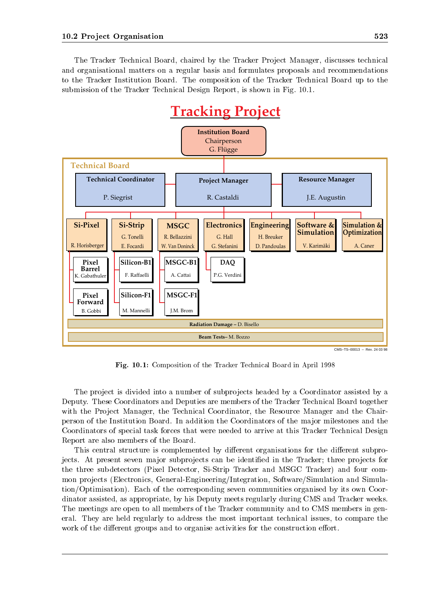The Tracker Technical Board, chaired by the Tracker Project Manager, discusses technical and organisational matters on a regular basis and formulates proposals and recommendations to the Tracker Institution Board. The composition of the Tracker Technical Board up to the submission of the Tracker Technical Design Report, is shown in Fig. 10.1.



CMS–TS–00013 – Rev. 24 03 98

Fig. 10.1: Composition of the Tracker Technical Board in April 1998

The project is divided into a number of subprojects headed by a Coordinator assisted by a Deputy. These Coordinators and Deputies are members of the Tracker Technical Board together with the Project Manager, the Technical Coordinator, the Resource Manager and the Chairperson of the Institution Board. In addition the Coordinators of the ma jor milestones and the Coordinators of special task forces that were needed to arrive at this Tracker Technical Design Report are also members of the Board.

This central structure is complemented by different organisations for the different subprojects. At present seven major subprojects can be identified in the Tracker; three projects for the three subdetectors (Pixel Detector, Si-Strip Tracker and MSGC Tracker) and four common projects (Electronics, General-Engineering/Integration, Software/Simulation and Simulation/Optimisation). Each of the corresponding seven communities organised by its own Coordinator assisted, as appropriate, by his Deputy meets regularly during CMS and Tracker weeks. The meetings are open to all members of the Tracker community and to CMS members in general. They are held regularly to address the most important technical issues, to compare the work of the different groups and to organise activities for the construction effort.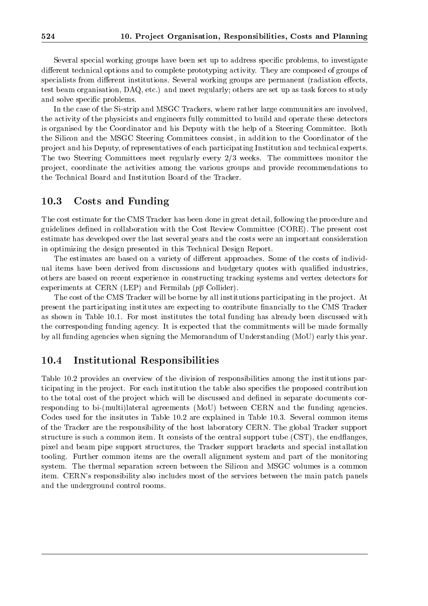Several special working groups have been set up to address specific problems, to investigate different technical options and to complete prototyping activity. They are composed of groups of specialists from different institutions. Several working groups are permanent (radiation effects, test beam organisation, DAQ, etc.) and meet regularly; others are set up as task forces to study and solve specic problems.

In the case of the Si-strip and MSGC Trackers, where rather large communities are involved, the activity of the physicists and engineers fully committed to build and operate these detectors is organised by the Coordinator and his Deputy with the help of a Steering Committee. Both the Silicon and the MSGC Steering Committees consist, in addition to the Coordinator of the pro ject and his Deputy, of representatives of each participating Institution and technical experts. The two Steering Committees meet regularly every 2/3 weeks. The committees monitor the pro ject, coordinate the activities among the various groups and provide recommendations to the Technical Board and Institution Board of the Tracker.

#### 10.3Costs and Funding

The cost estimate for the CMS Tracker has been done in great detail, following the procedure and guidelines defined in collaboration with the Cost Review Committee (CORE). The present cost estimate has developed over the last several years and the costs were an important consideration in optimizing the design presented in this Technical Design Report.

The estimates are based on a variety of different approaches. Some of the costs of individual items have been derived from discussions and budgetary quotes with qualied industries, others are based on recent experience in constructing tracking systems and vertex detectors for experiments at CERN (LEP) and Fermilab  $(p\bar{p}$  Collider).

The cost of the CMS Tracker will be borne by all institutions participating in the project. At present the participating institutes are expecting to contribute financially to the CMS Tracker as shown in Table 10.1. For most institutes the total funding has already been discussed with the corresponding funding agency. It is expected that the commitments will be made formally by all funding agencies when signing the Memorandum of Understanding (MoU) early this year.

#### 10.4Institutional Responsibilities

Table 10.2 provides an overview of the division of responsibilities among the institutions participating in the project. For each institution the table also specifies the proposed contribution to the total cost of the project which will be discussed and defined in separate documents corresponding to bi-(multi)lateral agreements (MoU) between CERN and the funding agencies. Codes used for the insitutes in Table 10.2 are explained in Table 10.3. Several common items of the Tracker are the responsibility of the host laboratory CERN. The global Tracker support structure is such a common item. It consists of the central support tube (CST), the endflanges, pixel and beam pipe support structures, the Tracker support brackets and special installation tooling. Further common items are the overall alignment system and part of the monitoring system. The thermal separation screen between the Silicon and MSGC volumes is a common item. CERN's responsibility also includes most of the services between the main patch panels and the underground control rooms.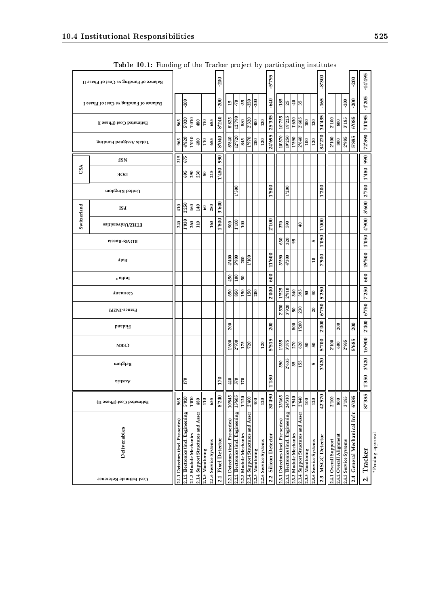|             | Balance of Funding vs Cost of Phase II |                                    |                                      |                        |                                    |                  |                       | $-200$             |                                    |                                      |                        |                                    |                  |                       | 5'795            |                                    |                                      |                        |                                    |                  |                       | $005.8 -$         |                       |                         |                       | $-200$                   | -14'495       |                    |
|-------------|----------------------------------------|------------------------------------|--------------------------------------|------------------------|------------------------------------|------------------|-----------------------|--------------------|------------------------------------|--------------------------------------|------------------------|------------------------------------|------------------|-----------------------|------------------|------------------------------------|--------------------------------------|------------------------|------------------------------------|------------------|-----------------------|-------------------|-----------------------|-------------------------|-----------------------|--------------------------|---------------|--------------------|
|             | Balance of Funding vs Cost of Phase I  |                                    | $-200$                               |                        |                                    |                  |                       | $-200$             |                                    | $\frac{15}{70}$                      | $-35$                  | $-350$                             | $-200$           |                       | $-640$           | $-185$                             |                                      | $25 - 40$              |                                    |                  |                       | $-165$            |                       |                         | $-200$                | $-200$                   | $-1'205$      |                    |
|             | Estimated Cost (Phase I)               | 965                                | 5'020                                | 0I0.I                  | 480                                | 110              | 655                   | 8'240              | 8'825                              | 12'790                               | 880                    | 2'320                              | 400              | 120                   | 25'335           | 10'755                             | 19'225                               | 1'630                  | 2'605                              | 100              | 120                   | 34'435            | 2'100                 | 800                     | 3'185                 | 6'085                    | 74'095        |                    |
|             | Suibun I bəngissA slatoT               | 965                                | 4'820                                | <b>010,1</b>           | 480                                | 110              | 655                   | 8'040              | 8'840                              | 12'720                               | 845                    | 1'970                              | 200              | 120                   | 24'695           | 10'570                             | 19'250                               | 1'590                  | 2'640                              | 100              | 120                   | 34'270            | 2'100                 | ${\bf 800}$             | 2'985                 | 5'885                    | 72'890        |                    |
|             | <b>HSN</b>                             | 315                                | 675                                  |                        |                                    |                  |                       | 990                |                                    |                                      |                        |                                    |                  |                       |                  |                                    |                                      |                        |                                    |                  |                       |                   |                       |                         |                       |                          | 990           |                    |
| USA         | DOE                                    |                                    | 695                                  | 290                    | 230                                | <b>G</b>         | 215                   | 1'480              |                                    |                                      |                        |                                    |                  |                       |                  |                                    |                                      |                        |                                    |                  |                       |                   |                       |                         |                       |                          | 1'480         |                    |
|             | United Kingdom                         |                                    |                                      |                        |                                    |                  |                       |                    |                                    | 1'500                                |                        |                                    |                  |                       | 1'500            |                                    | 1'200                                |                        |                                    |                  |                       | 1'200             |                       |                         |                       |                          | 2700          |                    |
|             | ISd                                    | 410                                | 2'250                                | 460                    | 140                                | 60               | 280                   | 3'600              |                                    |                                      |                        |                                    |                  |                       |                  |                                    |                                      |                        |                                    |                  |                       |                   |                       |                         |                       |                          | 3'600         |                    |
| Switzerland | enHZ/Universities                      | 240                                | 1'030                                | 260                    | 110                                |                  | 160                   | 1'800              | 900                                | 1'100                                | 100                    |                                    |                  |                       | 2'100            | 370                                | 065                                  |                        | $\overline{40}$                    |                  |                       | 1'000             |                       |                         |                       |                          | $006,\bar{t}$ |                    |
|             | RDMS-Russia                            |                                    |                                      |                        |                                    |                  |                       |                    |                                    |                                      |                        |                                    |                  |                       |                  | 630                                | 320                                  | 95                     |                                    |                  | IO.                   | 1'050             |                       |                         |                       |                          | 1'050         |                    |
|             | ylaly                                  |                                    |                                      |                        |                                    |                  |                       |                    | 4400                               | 006.5                                | 200                    | 1'100                              |                  |                       | 11'600           |                                    | $\frac{9.2656}{300}$                 |                        |                                    |                  | ₽                     | 7'900             |                       |                         |                       |                          | 19'500        |                    |
|             | * sibnI                                |                                    |                                      |                        |                                    |                  |                       |                    | 450                                | 100                                  | G5                     |                                    |                  |                       | 600              |                                    |                                      |                        |                                    |                  |                       |                   |                       |                         |                       |                          | 600           |                    |
|             | Germany                                |                                    |                                      |                        |                                    |                  |                       |                    | 650                                | 850                                  | 150                    | 150                                | 200              |                       | 2'000            | 1'525                              | 2'910                                | 340                    | 395                                | ${\tt 05}$       | 50                    | 5'250             |                       |                         |                       |                          | 7'250         |                    |
|             | France-IN2P3                           |                                    |                                      |                        |                                    |                  |                       |                    |                                    |                                      |                        |                                    |                  |                       |                  |                                    | 2'530<br>3'920                       | OS.                    | 230                                |                  | 20                    | 6'750             |                       |                         |                       |                          | 6'750         |                    |
|             | <b>bnsIni</b> <sup>1</sup>             |                                    |                                      |                        |                                    |                  |                       |                    | 200                                |                                      |                        |                                    |                  |                       | 200              |                                    |                                      | 800                    | 1'200                              |                  |                       | 2'000             |                       | 200                     |                       | 200                      | 2'400         |                    |
|             | <b>CERN</b>                            |                                    |                                      |                        |                                    |                  |                       |                    | 1'800                              | 2'700                                | 175                    | 720                                |                  | 120                   | 5'515            |                                    | $\frac{1'335}{3'375}$                | 270                    | 620                                | SO,              | 50                    | 5'700             | 2'100                 | 009                     | 2'985                 | 5'685                    | 16'900        |                    |
|             | ասեցից                                 |                                    |                                      |                        |                                    |                  |                       |                    |                                    |                                      |                        |                                    |                  |                       |                  |                                    | 590<br>2'635                         |                        | 35 <sub>15</sub>                   |                  | F,                    | 3'420             |                       |                         |                       |                          | 3'420         |                    |
|             | einsuA                                 |                                    | 170                                  |                        |                                    |                  |                       | 170                | 440                                | 570                                  | 170                    |                                    |                  |                       | 1'180            |                                    |                                      |                        |                                    |                  |                       |                   |                       |                         |                       |                          | 1'350         |                    |
|             | Estimated Cost (Phase II)              | 965                                | 5'020                                | 1'010                  | 480                                | 110              | 655                   | 8'240              | 10'845                             | 15'605                               | 1'120                  | 2'400                              | 400              | 120                   | 30'490           | 13'465                             | 24'310                               | 1940                   | 2'640                              | 100              | $120\,$               | 42'570            | 2'100                 | 008                     | 3'185                 | 6'085                    | 87'385        |                    |
|             | Deliverables                           | 2.1.1 Detectors (incl. Pre-series) | 2.1.2 Electronics (incl. Engineering | 2.1.3 Module Mechanics | 2.1.4 Support Structures and Assen | 2.1.5 Monitoring | 2.1.6 Service Systems | 2.1 Pixel Detector | 2.2.1 Detectors (incl. Pre-series) | 2.2.2 Electronics (incl. Engineering | 2.2.3 Module Mechanics | 2.2.4 Support Structures and Assen | 2.2.5 Monitoring | 2.2.6 Service Systems | Silicon Detector | 2.3.1 Detectors (incl. Pre-series) | 2.3.2 Electronics (incl. Engineering | 2.3.3 Module Mechanics | 2.3.4 Support Structures and Assen | 2.3.5 Monitoring | 2.3.6 Service Systems | 2.3 MSGC Detector | 2.4.1 Overall Support | 2.4.2 Overall Alignment | 2.4.3 Service Systems | General Mechanical Infr. | Tracker       | * Pending approval |
|             | Cost Estimate Reference                |                                    |                                      |                        |                                    |                  |                       |                    |                                    |                                      |                        |                                    |                  |                       | 2.2              |                                    |                                      |                        |                                    |                  |                       |                   |                       |                         |                       | 2.4                      | N             |                    |

| Table 10.1: Funding of the Tracker project by participating institutes |  |  |  |  |
|------------------------------------------------------------------------|--|--|--|--|
|                                                                        |  |  |  |  |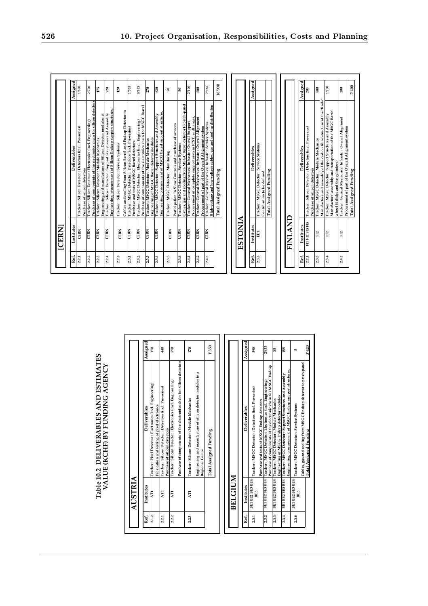| Assigned<br>Assigned<br>Assigned<br>16'900<br>1'800<br>3'375<br>2'985<br>2700<br>1'335<br>2'100<br>1'200<br>175<br>720<br>270<br>600<br>200<br>800<br>620<br>200<br>120<br>S0<br>50<br>Manufacture and assembly of the carbon fibre structure of the "Rods'<br>Purchase of components of the electronics chain for silicon detectors<br>Cables, gas and cooling from MSGC Barrel detector to patch-panel<br>High-voltage and low-voltage cables, gas and cooling distribution<br>Purchase of components of the electronics chain for MSGC Barrel<br>Tracker: MSGC Detector: Module Mechanics<br>Engineering, procurement of Silicon Endcap support structures<br>Manufacture, assembly and transportation of the MSGC Barrel<br>Cables and cooling from Silicon Barrel and Endcap Detector to<br>Tracker : MSGC Detector : Detectors (incl. Pre-series)<br>Engineering, procurement of MSCG Barrel support structures<br>Tracker: MSGC Detector: Support Structures and Assembly<br>Tracker: Silicon Detector: Support Structures and Assembly<br>Tracker : MSGC Detector : Support Structures and Assembly<br>Engineering and manufacture of Silicon Detector modules at<br>Procurement of complete support system (CST, endflanges,<br>Tracker: General Mechanical Infrastr.: Overall Alignment<br>wheel (4 disks and the cylinders)<br>Tracker : General Mechanical Infrastr. : Overall Alignment<br>Tracker: Silicon Detector: Electronics (incl. Engineering)<br>Tracker: MSGC Detector: Electronics (incl. Engineering)<br>Procurement of part of the Overall Alignment system<br>Tracker : General Mechanical Infrastr. : Service Systems<br>Tracker: General Mechanical Infrastr.: Overall Support<br>Participation in Slow Controls and purchase of sensors<br>Tracker: Silicon Detector: Detectors (incl. Pre-series)<br>Tracker: Silicon Detector: Detectors (incl. Pre-series)<br>Engineering of MSGC Barrel detector modules<br>Tracker: Silicon Detector: Module Mechanics<br>Tracker: MSGC Detector: Module Mechanics<br>Purchase and tests of MSGC Barrel detectors<br>Tracker: Silicon Detector: Service Systems<br>Tracker: MSGC Detector: Service Systems<br>Tracker: MSGC Detector: Service Systems<br>Deliverables<br>Deliverables<br>Deliverables<br>Tracker: MSGC Detector: Monitoring<br><b>Total Assigned Funding</b><br>Total Assigned Funding<br>Purchase of silicon detectors<br>Purchase of silicon detector<br>Contribution to be defined<br>FINLAND<br>ESTONIA<br>FI1 FI2 FI3 FI5<br>Institutes<br>Institutes<br>Institutes<br><b>CERN</b><br><b>CERN</b><br><b>CERN</b><br><b>CERN</b><br><b>CERN</b><br><b>CERN</b><br><b>CERN</b><br><b>CERN</b><br><b>CERN</b><br><b>CERN</b><br><b>CERN</b><br><b>CERN</b><br><b>CERN</b><br><b>CERN</b><br>EEI<br>F <sub>12</sub><br>FI2<br>F <sub>12</sub><br>2.3.6<br>2.3.6<br>2.2.1<br>2.3.3<br>Ref.<br>2.3.5<br>2.4.3<br>Ref.<br>2.3.4<br>2.4.2<br>2.2.1<br>2.2.2<br>2.2.3<br>2.2.4<br>2.2.6<br>2.3.2<br>2.3.3<br>2.3.4<br>2.4.1<br>2.4.2<br>Ref.<br>2.3.1<br>Assigned<br>Assigned<br>1'350<br>2'635<br>3'420<br>170<br>570<br>440<br>590<br>155<br>170<br>35<br>s<br><b>ESTIMATES</b><br>for silicon detectors<br>ector to patch-panel<br>AGENCY<br>Engineering, procurement of MSGC Endcap support structures,<br>modules in a<br>Engineering of MSCG Endcap detector modules<br>Tracker : MSGC Detector : Support Structures and Assembly<br>Tracker: Silicon Detector: Electronics (incl. Engineering)<br>Tracker: Pixel Detector: Electronics (incl. Engineering)<br>Fabrication and testing of pixel electronics<br>Tracker : Silicon Detector : Detectors (incl. Pre-series)<br>Tracker: MSGC Detector: Detectors (incl. Pre-series)<br>Table 10.2 DELIVERABLES AND<br>VALUE (KCHF) BY FUNDING<br>Purchase of components of the electronics chain<br>Engineering and manufacture of silicon detector<br>Cables, gas and cooling from MSGC Endcap det<br>Tracker: MSGC Detector: Module Mechanics<br>Tracker: Silicon Detector: Module Mechanics<br>Tracker: MSGC Detector: Service Systems<br>Deliverables<br>Deliverables<br>Purchase of silicon detectors<br><b>Total Assigned Funding</b><br>Total Assigned Funding<br>Regional Centre<br><b>BELGIUM</b><br>AUSTRIA<br><b>BEI BEI EE BE4</b><br>BEI BEZ BES BE4<br><b>FEL BEZ BER 198</b><br><b>FEL BEZ BER 198</b><br><b>BEI BE2 BE3 BE4</b><br>Institutes<br>Institutes<br>BE5<br>AT <sub>1</sub><br>AT1<br>AT1<br><b>BE5</b><br>AT1 | Ref.<br>2.1.2<br>Ref.<br>2.3.1<br>2.3.2<br>2.3.3<br>2.3.4<br>2.3.6<br>2.2.2<br>2.2.3<br>2.2.1 |              |  |  |  |  |  |  |  |  |  |  |  |  |  |  |  |  |  |  |  |  |  |  |  |  |  |  |  |  |  |                                                     |
|---------------------------------------------------------------------------------------------------------------------------------------------------------------------------------------------------------------------------------------------------------------------------------------------------------------------------------------------------------------------------------------------------------------------------------------------------------------------------------------------------------------------------------------------------------------------------------------------------------------------------------------------------------------------------------------------------------------------------------------------------------------------------------------------------------------------------------------------------------------------------------------------------------------------------------------------------------------------------------------------------------------------------------------------------------------------------------------------------------------------------------------------------------------------------------------------------------------------------------------------------------------------------------------------------------------------------------------------------------------------------------------------------------------------------------------------------------------------------------------------------------------------------------------------------------------------------------------------------------------------------------------------------------------------------------------------------------------------------------------------------------------------------------------------------------------------------------------------------------------------------------------------------------------------------------------------------------------------------------------------------------------------------------------------------------------------------------------------------------------------------------------------------------------------------------------------------------------------------------------------------------------------------------------------------------------------------------------------------------------------------------------------------------------------------------------------------------------------------------------------------------------------------------------------------------------------------------------------------------------------------------------------------------------------------------------------------------------------------------------------------------------------------------------------------------------------------------------------------------------------------------------------------------------------------------------------------------------------------------------------------------------------------------------------------------------------------------------------------------------------------------------------------------------------------------------------------------------------------------------------------------------------------------------------------------------------------------------------------------------------------------------------------------------------------------------------------------------------------------------------------------------------------------------------------------------------------------------------------------------------------------------------------------------------------------------------------------------------------------------------------------------------------------------------------------------------------------------------------------------------------------------------------------------------------------------------------------------------------------------------------------------------------------------------------------------------------------------------------------------------------------------------------------------------------------------------------------------------------------------------------------------------------------------------------------------------------------------------------------------------------------------------------------------------------------------------------------------------------|-----------------------------------------------------------------------------------------------|--------------|--|--|--|--|--|--|--|--|--|--|--|--|--|--|--|--|--|--|--|--|--|--|--|--|--|--|--|--|--|-----------------------------------------------------|
|                                                                                                                                                                                                                                                                                                                                                                                                                                                                                                                                                                                                                                                                                                                                                                                                                                                                                                                                                                                                                                                                                                                                                                                                                                                                                                                                                                                                                                                                                                                                                                                                                                                                                                                                                                                                                                                                                                                                                                                                                                                                                                                                                                                                                                                                                                                                                                                                                                                                                                                                                                                                                                                                                                                                                                                                                                                                                                                                                                                                                                                                                                                                                                                                                                                                                                                                                                                                                                                                                                                                                                                                                                                                                                                                                                                                                                                                                                                                                                                                                                                                                                                                                                                                                                                                                                                                                                                                                                                                           |                                                                                               |              |  |  |  |  |  |  |  |  |  |  |  |  |  |  |  |  |  |  |  |  |  |  |  |  |  |  |  |  |  |                                                     |
|                                                                                                                                                                                                                                                                                                                                                                                                                                                                                                                                                                                                                                                                                                                                                                                                                                                                                                                                                                                                                                                                                                                                                                                                                                                                                                                                                                                                                                                                                                                                                                                                                                                                                                                                                                                                                                                                                                                                                                                                                                                                                                                                                                                                                                                                                                                                                                                                                                                                                                                                                                                                                                                                                                                                                                                                                                                                                                                                                                                                                                                                                                                                                                                                                                                                                                                                                                                                                                                                                                                                                                                                                                                                                                                                                                                                                                                                                                                                                                                                                                                                                                                                                                                                                                                                                                                                                                                                                                                                           |                                                                                               |              |  |  |  |  |  |  |  |  |  |  |  |  |  |  |  |  |  |  |  |  |  |  |  |  |  |  |  |  |  | Procurement of part of the Overall Alignment system |
|                                                                                                                                                                                                                                                                                                                                                                                                                                                                                                                                                                                                                                                                                                                                                                                                                                                                                                                                                                                                                                                                                                                                                                                                                                                                                                                                                                                                                                                                                                                                                                                                                                                                                                                                                                                                                                                                                                                                                                                                                                                                                                                                                                                                                                                                                                                                                                                                                                                                                                                                                                                                                                                                                                                                                                                                                                                                                                                                                                                                                                                                                                                                                                                                                                                                                                                                                                                                                                                                                                                                                                                                                                                                                                                                                                                                                                                                                                                                                                                                                                                                                                                                                                                                                                                                                                                                                                                                                                                                           |                                                                                               | <b>ICERN</b> |  |  |  |  |  |  |  |  |  |  |  |  |  |  |  |  |  |  |  |  |  |  |  |  |  |  |  |  |  |                                                     |
|                                                                                                                                                                                                                                                                                                                                                                                                                                                                                                                                                                                                                                                                                                                                                                                                                                                                                                                                                                                                                                                                                                                                                                                                                                                                                                                                                                                                                                                                                                                                                                                                                                                                                                                                                                                                                                                                                                                                                                                                                                                                                                                                                                                                                                                                                                                                                                                                                                                                                                                                                                                                                                                                                                                                                                                                                                                                                                                                                                                                                                                                                                                                                                                                                                                                                                                                                                                                                                                                                                                                                                                                                                                                                                                                                                                                                                                                                                                                                                                                                                                                                                                                                                                                                                                                                                                                                                                                                                                                           |                                                                                               |              |  |  |  |  |  |  |  |  |  |  |  |  |  |  |  |  |  |  |  |  |  |  |  |  |  |  |  |  |  |                                                     |
|                                                                                                                                                                                                                                                                                                                                                                                                                                                                                                                                                                                                                                                                                                                                                                                                                                                                                                                                                                                                                                                                                                                                                                                                                                                                                                                                                                                                                                                                                                                                                                                                                                                                                                                                                                                                                                                                                                                                                                                                                                                                                                                                                                                                                                                                                                                                                                                                                                                                                                                                                                                                                                                                                                                                                                                                                                                                                                                                                                                                                                                                                                                                                                                                                                                                                                                                                                                                                                                                                                                                                                                                                                                                                                                                                                                                                                                                                                                                                                                                                                                                                                                                                                                                                                                                                                                                                                                                                                                                           |                                                                                               |              |  |  |  |  |  |  |  |  |  |  |  |  |  |  |  |  |  |  |  |  |  |  |  |  |  |  |  |  |  |                                                     |
|                                                                                                                                                                                                                                                                                                                                                                                                                                                                                                                                                                                                                                                                                                                                                                                                                                                                                                                                                                                                                                                                                                                                                                                                                                                                                                                                                                                                                                                                                                                                                                                                                                                                                                                                                                                                                                                                                                                                                                                                                                                                                                                                                                                                                                                                                                                                                                                                                                                                                                                                                                                                                                                                                                                                                                                                                                                                                                                                                                                                                                                                                                                                                                                                                                                                                                                                                                                                                                                                                                                                                                                                                                                                                                                                                                                                                                                                                                                                                                                                                                                                                                                                                                                                                                                                                                                                                                                                                                                                           |                                                                                               |              |  |  |  |  |  |  |  |  |  |  |  |  |  |  |  |  |  |  |  |  |  |  |  |  |  |  |  |  |  |                                                     |

|       | AUSTRIA        |                                                                                             |          |
|-------|----------------|---------------------------------------------------------------------------------------------|----------|
|       |                |                                                                                             |          |
| Ref.  | Institutes     | Deliverables                                                                                | Assigned |
| 2.1.2 | AT1            | Tracker: Pixel Detector: Electronics (incl. Engineering)                                    | 170      |
|       |                | Fabrication and testing of pixel electronics                                                |          |
| 2.2.1 | <b>EN</b>      | Tracker: Silicon Detector: Detectors (incl. Pre-series)                                     | 440      |
|       | AП             | Purchase of silicon detectors                                                               | 570      |
| 2.2.2 |                | Tracker: Silicon Detector: Electronics (incl. Engineering)                                  |          |
|       |                | Purchase of components of the electronics chain for silicon detectors                       |          |
| 2.2.3 | Ę              | Tracker: Silicon Detector: Module Mechanics                                                 | 170      |
|       |                | Engineering and manufacture of silicon detector modules in a<br>Regional Centre             |          |
|       |                | <b>Total Assigned Funding</b>                                                               | 1'350    |
|       |                |                                                                                             |          |
|       |                |                                                                                             |          |
|       | <b>BELGIUM</b> |                                                                                             |          |
| Ref.  | Institutes     | Deliverables                                                                                | Assigned |
|       |                |                                                                                             |          |
| 5.5.7 |                | $BET BE2 BE4  _{T=1,2,3,3}$ , are $CCT$ $D_{0}$ and $T_{0}$ $D_{0}$ $D_{0}$ $D_{0}$ $D_{0}$ | Enn      |

|       | <b>BELGIUM</b> |                                                                         |          |
|-------|----------------|-------------------------------------------------------------------------|----------|
|       |                |                                                                         |          |
| Ref.  | Institutes     | Deliverables                                                            | Assigned |
| 2.3.1 | BE5            | BE1 BE2 BE3 BE4 Tracker: MSGC Detector: Detectors (incl. Pre-series)    | 590      |
|       |                | Purchase and tests of MSGC Endcap detectors                             |          |
| 2.3.2 |                | BE1 BE2 BE3 BE4 Tracker: MSGC Detector: Electronics (incl. Engineering) | 2'635    |
|       |                | Purchase of components of the electronic chain for MSGC Endcap          |          |
| 2.3.3 |                | BE1 BE2 BE3 BE4 Tracker: MSGC Detector: Module Mechanics                | ă        |
|       |                | Engineering of MSCG Endcap detector modules                             |          |
| 2.3.4 |                | BEI BE2 BE3 BE4 Tracker: MSGC Detector: Support Structures and Assembly | 155      |
|       |                | Engineering, procurement of MSGC Endcap support structures,             |          |
| 2.3.6 |                | BE1 BE2 BE3 BE4   Tracker: MSGC Detector: Service Systems               |          |
|       |                | Cables, gas and cooling from MSGC Endcap detector to patch-panel        |          |
|       |                | Total Assigned Funding                                                  | 3'420    |
|       |                |                                                                         |          |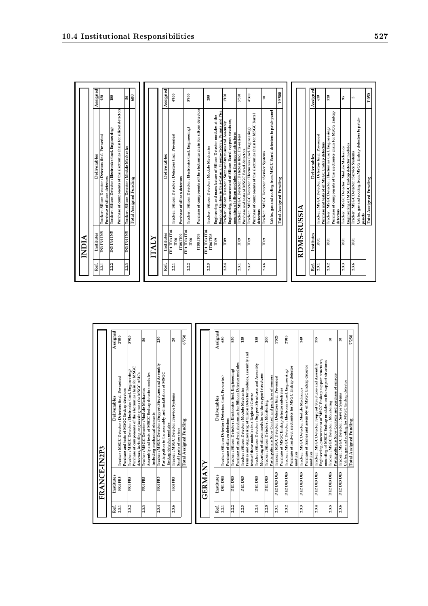|       | NDIA                            |                                                                                                                                                                                       |                 |
|-------|---------------------------------|---------------------------------------------------------------------------------------------------------------------------------------------------------------------------------------|-----------------|
| Ref.  | Institutes                      | Deliverables                                                                                                                                                                          | Assigned        |
| 2.2.1 | IN3 IN4 IN5                     | Tracker: Silicon Detector: Detectors (incl. Pre-series)<br>Purchase of silicon detectors                                                                                              | 450             |
| 2.2.2 | <b>SNI FNI ENI</b>              | Purchase of components of the electronics chain for silicon detectors<br>Tracker: Silicon Detector: Electronics (incl. Engineering)                                                   | 100             |
| 2.2.3 | IN3 IN4 IN5                     | Tracker: Silicon Detector: Module Mechanics                                                                                                                                           | 50              |
|       |                                 | <b>Total Assigned Funding</b>                                                                                                                                                         | 600             |
|       |                                 |                                                                                                                                                                                       |                 |
|       | LIALY                           |                                                                                                                                                                                       |                 |
| Ref.  | Institutes                      | Deliverables                                                                                                                                                                          | Assigned        |
| 2.2.1 | ПО1 ПО3 ПО4<br>IT06             | Tracker: Silicon Detector: Detectors (incl. Pre-series)                                                                                                                               | 00₺             |
|       | <b>IT08 IT09</b>                | Purchase of silicon detectors                                                                                                                                                         |                 |
| 2.2.2 | <b>IT01 IT03 IT04</b><br>IT06   | Tracker: Silicon Detector: Electronics (incl. Engineering)                                                                                                                            | 5'900           |
|       | <b>IT08 IT09</b>                | Purchase of components of the electronics chain for silicon detectors                                                                                                                 |                 |
| 2.2.3 | ПО1 ПО3 ПО4<br><b>IT06 IT08</b> | Tracker: Silicon Detector: Module Mechanics                                                                                                                                           | 200             |
|       | IT <sub>09</sub>                | Regional Centres in Bari-Catania, Firenze-Padova, Perugia and Pisa<br>Engineering and manufacture of Silicon Detector modules at the                                                  |                 |
| 2.2.4 | $\Gamma$ <sup>09</sup>          | Engineering, procurement of Silicon Barrel support structures,<br>Tracker: Silicon Detector: Support Structures and Assembly<br>mounting of silicon modules on the support structures | 1'100           |
| 2.3.1 | $\Gamma$ 09                     | Tracker: MSGC Detector: Detectors (incl. Pre-series)<br>Purchase and tests of MSGC Barrel detectors                                                                                   | 3'590           |
| 2.3.2 | IT <sub>09</sub>                | Purchase of components of the electronics chain for MSGC Barrel<br>Tracker: MSGC Detector: Electronics (incl. Engineering)<br>detectors                                               | 4'300           |
| 2.3.6 | $\Pi$ <sup>09</sup>             | Cables, gas and cooling from MSGC Barrel detectors to patch-panel<br>Tracker: MSGC Detector: Service Systems                                                                          | $\overline{10}$ |
|       |                                 | <b>Total Assigned Funding</b>                                                                                                                                                         | 19'500          |
|       |                                 |                                                                                                                                                                                       |                 |
|       | RDMS-RUSSIA                     |                                                                                                                                                                                       |                 |
| Ref.  | Institutes                      | Deliverables                                                                                                                                                                          | Assigned        |
| 2.3.1 | RU1                             | Tracker: MSGC Detector: Detectors (incl. Pre-series)<br>Purchase and tests of of MSGC Endcap detectors                                                                                | 630             |
| 2.3.2 | RU1                             | Purchase of components of the electronics chain for MSCG Endcap<br>Tracker: MSGC Detector: Electronics (incl. Engineering)<br>detectors                                               | 320             |
| 2.3.3 | RUI                             | Engineering of MSGC Endcap detector modules<br>Tracker: MSGC Detector: Module Mechanics                                                                                               | 95              |
| 2.3.6 | RUI                             | Cables, gas and cooling from MSCG Endcap detectors to patch-<br>Tracker: MSGC Detector: Service Systems<br>panels                                                                     | s               |
|       |                                 | <b>Total Assigned Funding</b>                                                                                                                                                         | 1'050           |

|       | FRANCE-IN2P3  |                                                                                                                                                                                     |                 |
|-------|---------------|-------------------------------------------------------------------------------------------------------------------------------------------------------------------------------------|-----------------|
| Ref.  | Institutes    | Deliverables                                                                                                                                                                        | Assigned        |
| 2.3.1 | FR4 FR5       | Tracker: MSGC Detector: Detectors (incl. Pre-series)<br>Purchase and tests of MSGC Endcap detectors                                                                                 | 2530            |
| 2.3.2 | FR4 FR5       | Purchase of components of the electronics chain for MSGC<br>Tracker: MSGC Detector: Electronics (incl. Engineering)<br>detectors, including engineering runs for MSGC ASICs         | 3'920           |
| 2.3.3 | FR4 FR5       | Assembly and tests of MSGC Endcap detector modules<br>Tracker: MSGC Detector: Module Mechanics<br>including mechanical elements                                                     | 50              |
| 23.4  | FR4 FR5       | Tracker: MSGC Detector: Support Structures and Assembly<br>Participation in the assembly and installation of MSGC<br>Endcap detector modules                                        | 230             |
| 2.3.6 | FR4 FR5       | Tracker: MSGC Detector: Service Systems<br>Small parts of services                                                                                                                  | $\overline{20}$ |
|       |               | Total Assigned Funding                                                                                                                                                              | 6'750           |
|       | GERMANY       |                                                                                                                                                                                     |                 |
| Ref.  | Institutes    | Deliverables                                                                                                                                                                        | Assigned        |
| 2.2.1 | <b>DEIDE3</b> | Tracker: Silicon Detector: Detectors (incl. Pre-series)<br>Purchase of silicon detectors                                                                                            | 650             |
| 2.2.2 | DEI DE3       | Purchase of read-out electronics for Silicon Detector modules<br>Tracker : Silicon Detector : Electronics (incl. Engineering)                                                       | 850             |
| 2.2.3 | <b>ERIDES</b> | Frames and engineering of Silicon Detector modules, assembly and<br>Tracker: Silicon Detector: Module Mechanics                                                                     | 150             |
| 2.2.4 | DE1 DE3       | Tracker: Silicon Detector: Support Structures and Assembly<br>Mounting of silicon modules on the support structures<br>tests of these modules in a Regional Centre                  | 150             |
| 2.5   | <b>DEIDE3</b> | Participation in Slow Control and purchase of sensors<br>Tracker: Silicon Detector: Monitoring                                                                                      | 200             |
| 23.1  | DE2 DE3 DE5   | Tracker: MSGC Detector: Detectors (incl. Pre-series)<br>Purchase of MSGC Endcap detector substrates                                                                                 | 1'525           |
| 2.3.2 | DE2 DE3 DE5   | Purchase of read-out electronics for MSGC Endcap detector<br>Tracker: MSGC Detector: Electronics (incl. Engineering)<br>modules                                                     | 2'910           |
| 2.3.3 | DE2 DE3 DE5   | Purchase of frames and assembly of MSGC Endcap detector<br>Tracker: MSGC Detector: Module Mechanics<br>modules                                                                      | 340             |
| 2.3.4 | DE2 DE3 DE5   | Engineering, procurement of MSGC Endcap support structures,<br>mounting of MSGC Endcap modules on the support structures<br>Tracker: MSGC Detector: Support Structures and Assembly | 395             |
| 2.3.5 | DE2 DE3 DE5   | Participation in Slow Controls and purchase of sensors<br>Tracker: MSGC Detector: Monitoring                                                                                        | ន               |
| 2.3.6 | DE2 DE3 DE5   | Cables, gas and cooling for MSGC Endcap detector<br>Tracker: MSGC Detector: Service Systems                                                                                         | 30              |
|       |               | <b>Total Assigned Funding</b>                                                                                                                                                       | 7250            |

10.4 Institutional Responsibilities 527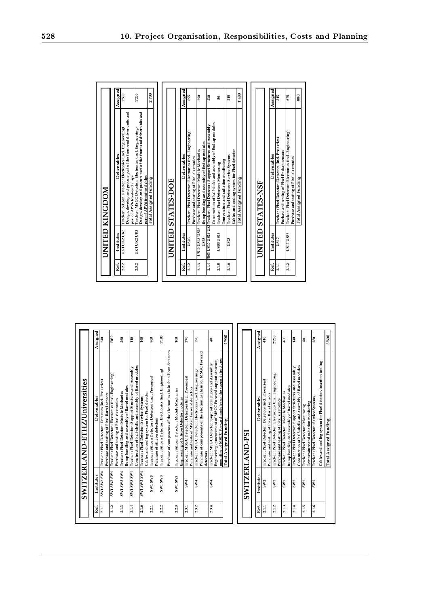|                                                                                              | 3'600           | Total Assigned Funding                                                                                                      |                    |       |
|----------------------------------------------------------------------------------------------|-----------------|-----------------------------------------------------------------------------------------------------------------------------|--------------------|-------|
|                                                                                              |                 | Cables and cooling system for Pixel detector, insertion tooling                                                             |                    |       |
|                                                                                              | 280             | Tracker: Pixel Detector: Service Systems                                                                                    | SW <sub>2</sub>    | 2.1.6 |
|                                                                                              | 3               | Temperature and radiation monitoring<br>Tracker: Pixel Detector: Monitoring                                                 | SW <sub>2</sub>    | 2.1.5 |
| Purchase and<br><b>Total Assign</b>                                                          | 140             | Construction of half-shells and assembly of Barrel modules<br>Tracker: Pixel Detector: Support Structures and Assembly      | SW <sub>2</sub>    | 2.1.4 |
| Tracker: Pixe<br>ESSA 41SA<br>2.1.2                                                          | 460             | Bump bonding and assembly of Barrel modules<br>Tracker: Pixel Detector: Module Mechanics                                    | SW <sub>2</sub>    | 2.1.3 |
| Tracker: Pixe<br>Puchase and t<br>US17<br>2.1.1                                              | 2'250           | Tracker: Pixel Detector: Electronics (incl. Engineering)<br>Purchase and testing of Pixel electronics                       | SW <sub>2</sub>    | 2.1.2 |
| Institutes<br>Ref.                                                                           | 410             | Tracker: Pixel Detector: Detectors (incl. Pre-series)<br>Purchase and testing of Pixel Barrel sensors                       | SW <sub>2</sub>    | 2.1.1 |
| UNITED STATE                                                                                 | Assigned        | Deliverables                                                                                                                | Institutes         | Ref.  |
|                                                                                              |                 |                                                                                                                             |                    |       |
| <b>Total Assig</b>                                                                           |                 | SWITZERLAND-PSI                                                                                                             |                    |       |
| Tracker: Pixe<br>Cables and co<br><b>US23</b><br>2.1.6                                       | 0063            | <b>Total Assigned Funding</b>                                                                                               |                    |       |
| Construction<br>Tracker: Pixe<br>Temperature<br>US03 US23<br>2.1.5                           |                 | Engineering, procurement of MSGC Forward support structure,<br>mounting of MSGC Forward modules on the support structures   |                    |       |
| S03 US10 US26 US3Tracker: Pixe<br>2.1.4                                                      | $\overline{40}$ | Tracker: MSGC Detector: Support Structures and Assembly<br>detectors                                                        | SW <sub>4</sub>    | 2.3.4 |
| Purchase and<br>Tracker: Pixe<br>Bump bondin<br>US10 US13 US26<br>US <sub>3</sub> 5<br>2.1.3 | 590             | Purchase of components of the electronics chain for MSGC Forward<br>Tracker: MSGC Detector: Electronics (incl. Engineering) | SW <sub>4</sub>    | 2.3.2 |
| Tracker : Pixe<br>US03<br>Ref.<br>2.1.2                                                      | 370             | Tracker: MSGC Detector: Detectors (incl. Pre-series)<br>Purchase and tests of MSGC Forward detectors                        | SW4                | 2.3.1 |
| Institutes                                                                                   | 100             | Tracker: Silicon Detector: Module Mechanics<br>Engineering of Silicon Detector modules                                      | <b>EMSIMS</b>      | 2.2.3 |
| UNITED STATE                                                                                 |                 | Purchase of components of the electronics chain for silicon detectors                                                       |                    |       |
|                                                                                              | <b>00L,I</b>    | Tracker: Silicon Detector: Electronics (incl. Engineering)                                                                  | SW1 SW3            | 2.2.2 |
| <b>Total Assign</b>                                                                          | 900             | Tracker: Silicon Detector: Detectors (incl. Pre-series)<br>Purchase of silicon detectors                                    | SW1 SW3            | 2.2.1 |
| Design, devel<br>part of APV6                                                                | 160             | Cables and cooling system for Pixel detector<br>Tracker: Pixel Detector: Service Systems                                    | <b>EMS EMS LMS</b> | 2.1.6 |
| part of APV6<br>Tracker : MSC<br>UKI UK2 UK3<br>2.3.2                                        | 110             | Construction of half-shells and assembly of Barrel modules<br>Tracker: Pixel Detector: Support Structures and Assembly      | <b>FMS EMS LMS</b> | 2.1.4 |
| Tracker: Silio<br>Design, devel<br><b>UKI UK2 UK3</b><br>2.2.2                               | 260             | Bump bonding and assembly of Barrel modules<br>Tracker: Pixel Detector: Module Mechanics                                    | <b>FMS EMS LMS</b> | 2.1.3 |
| Institutes<br>Ref.                                                                           | 1'030           | Tracker: Pixel Detector: Electronics (incl. Engineering)<br>Purchase and testing of Pixel electronics                       | <b>FMS EMS LMS</b> | 2.1.2 |
| UNITED KINGE                                                                                 | 240             | Tracker: Pixel Detector: Detectors (incl. Pre-series)<br>Purchase and testing of Pixel Barrel sensors                       | <b>FMS EMS LMS</b> | 2.1.1 |
|                                                                                              | Assigned        | Deliverables                                                                                                                | Institutes         | Ref.  |
|                                                                                              |                 |                                                                                                                             |                    |       |
|                                                                                              |                 | SWITZERLAND-ETHZ/Universities                                                                                               |                    |       |
|                                                                                              |                 |                                                                                                                             |                    |       |

|       |                 | SWITZERLAND-PSI                                                                                                        |          |
|-------|-----------------|------------------------------------------------------------------------------------------------------------------------|----------|
| Ref.  | Institutes      | Deliverables                                                                                                           | Assigned |
| 21.1  | SW <sub>2</sub> | Tracker: Pixel Detector: Detectors (incl. Pre-series)<br>Purchase and testing of Pixel Barrel sensors                  | 410      |
| 21.2  | SW <sub>2</sub> | Tracker: Pixel Detector: Electronics (incl. Engineering)<br>Purchase and testing of Pixel electronics                  | 2'250    |
| 2.1.3 | SW <sub>2</sub> | Bump bonding and assembly of Barrel modules<br>Tracker: Pixel Detector: Module Mechanics                               | 460      |
| 2.1.4 | SW <sub>2</sub> | Construction of half-shells and assembly of Barrel modules<br>Tracker: Pixel Detector: Support Structures and Assembly | 140      |
| 2.1.5 | SW <sub>2</sub> | Temperature and radiation monitoring<br>Tracker: Pixel Detector: Monitoring                                            | SO       |
| 2.1.6 | SW <sub>2</sub> | Cables and cooling system for Pixel detector, insertion tooling<br>Tracker: Pixel Detector: Service Systems            | 280      |
|       |                 | Total Assigned Funding                                                                                                 | 3'600    |

|       |                                    | UNITED KINGDOM                                                                                                                                                   |          |
|-------|------------------------------------|------------------------------------------------------------------------------------------------------------------------------------------------------------------|----------|
| Ref.  | Institutes                         | Deliverables                                                                                                                                                     | Assigned |
| 2.2.2 | UKI UK2 UK3                        | Design, develop and procure part of the front-end driver units and<br>Tracker: Silicon Detector: Electronics (incl. Engineering)<br>part of APV6 front-end chips | 1'500    |
| 2.3.2 | UK1 UK2 UK3                        | Design, develop and procure part of the front-end driver units and<br>Tracker: MSGC Detector: Electronics (incl. Engineering)<br>part of APV6 front-end chips    | 1'200    |
|       |                                    | <b>Total Assigned Funding</b>                                                                                                                                    | 2'700    |
|       |                                    |                                                                                                                                                                  |          |
|       | UNITED                             | <b>STATES-DOE</b>                                                                                                                                                |          |
| Ref.  | Institutes                         | Deliverables                                                                                                                                                     | Assigned |
| 2.1.2 | US03                               | Tracker: Pixel Detector: Electronics (incl. Engineering)<br>Purchase and testing of Pixel electronics                                                            | 695      |
| 2.1.3 | US10 US13 US26<br>US <sub>35</sub> | Bump bonding and assembly of Endcap modules<br>Tracker: Pixel Detector: Module Mechanics                                                                         | 290      |
| 2.1.4 |                                    | Construction of half-disks and assembly of Endcap modules<br>S03 US10 US26 US3 Tracker: Pixel Detector: Support Structures and Assembly                          | 230      |
| 2.1.5 | <b>US03 US23</b>                   | Temperature and radiation monitoring<br>Tracker: Pixel Detector: Monitoring                                                                                      | ន        |
| 2.1.6 | US23                               | Cables and cooling system for Pixel detector<br>Tracker: Pixel Detector: Service Systems                                                                         | 215      |
|       |                                    | Total Assigned Funding                                                                                                                                           | 1'480    |
|       |                                    |                                                                                                                                                                  |          |
|       |                                    | <b>UNITED STATES-NSF</b>                                                                                                                                         |          |
| Ref.  | Institutes                         | Deliverables                                                                                                                                                     | Assigned |
| 2.1.1 | US17                               | Tracker: Pixel Detector: Detectors (incl. Pre-series)<br>Puchase and testing of Pixel Endcap sensors                                                             | 315      |
| 2.1.2 | US17 US33                          | Tracker: Pixel Detector: Electronics (incl. Engineering)<br>Purchase and testing of Pixel electronics                                                            | 675      |
|       |                                    | <b>Total Assigned Funding</b>                                                                                                                                    | 990      |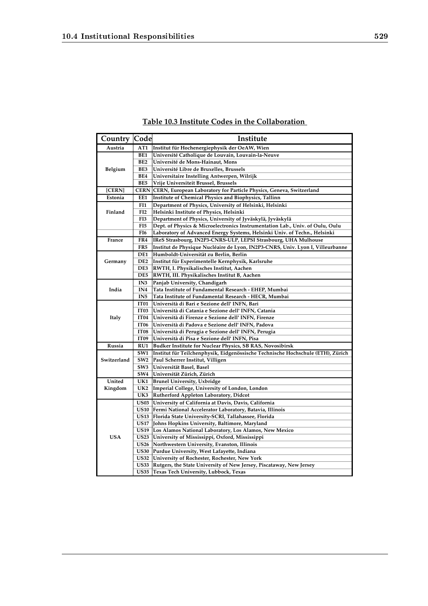| <b>Country Code</b> |                  | Institute                                                                       |
|---------------------|------------------|---------------------------------------------------------------------------------|
| Austria             | AT1              | Institut für Hochenergiephysik der OeAW, Wien                                   |
|                     | BE1              | Université Catholique de Louvain, Louvain-la-Neuve                              |
|                     | BE <sub>2</sub>  | Université de Mons-Hainaut, Mons                                                |
| Belgium             | BE3              | Université Libre de Bruxelles, Brussels                                         |
|                     | BE4              | Universitaire Instelling Antwerpen, Wilrijk                                     |
|                     | BE5              | Vrije Universiteit Brussel, Brussels                                            |
| [CERN]              |                  | CERN CERN, European Laboratory for Particle Physics, Geneva, Switzerland        |
| Estonia             | EE1              | <b>Institute of Chemical Physics and Biophysics, Tallinn</b>                    |
|                     | FI1              | Department of Physics, University of Helsinki, Helsinki                         |
| Finland             | FI <sub>2</sub>  | Helsinki Institute of Physics, Helsinki                                         |
|                     | FI3              | Department of Physics, University of Jyväskylä, Jyväskylä                       |
|                     | FI5              | Dept. of Physics & Microelectronics Instrumentation Lab., Univ. of Oulu, Oulu   |
|                     | FI6              | Laboratory of Advanced Energy Systems, Helsinki Univ. of Techn., Helsinki       |
| France              | FR4              | IReS Strasbourg, IN2P3-CNRS-ULP, LEPSI Strasbourg, UHA Mulhouse                 |
|                     | FR5              | Institut de Physique Nucléaire de Lyon, IN2P3-CNRS, Univ. Lyon I, Villeurbanne  |
|                     | DE1              | Humboldt-Universität zu Berlin, Berlin                                          |
| Germany             | DE <sub>2</sub>  | Institut für Experimentelle Kernphysik, Karlsruhe                               |
|                     | DE3              | RWTH, I. Physikalisches Institut, Aachen                                        |
|                     | DE5              | RWTH, III. Physikalisches Institut B, Aachen                                    |
|                     | IN <sub>3</sub>  | Panjab University, Chandigarh                                                   |
| India               | IN <sub>4</sub>  | Tata Institute of Fundamental Research - EHEP, Mumbai                           |
|                     | IN <sub>5</sub>  | Tata Institute of Fundamental Research - HECR, Mumbai                           |
|                     | IT <sub>01</sub> | Università di Bari e Sezione dell' INFN, Bari                                   |
|                     | IT <sub>03</sub> | Università di Catania e Sezione dell' INFN, Catania                             |
| Italy               | IT <sub>04</sub> | Università di Firenze e Sezione dell'INFN, Firenze                              |
|                     | IT <sub>06</sub> | Università di Padova e Sezione dell' INFN, Padova                               |
|                     | IT <sub>08</sub> | Università di Perugia e Sezione dell'INFN, Perugia                              |
|                     | IT <sub>09</sub> | Università di Pisa e Sezione dell' INFN, Pisa                                   |
| Russia              | RU1              | Budker Institute for Nuclear Physics, SB RAS, Novosibirsk                       |
|                     | SW1              | Institut für Teilchenphysik, Eidgenössische Technische Hochschule (ETH), Zürich |
| Switzerland         | SW <sub>2</sub>  | Paul Scherrer Institut, Villigen                                                |
|                     | SW <sub>3</sub>  | Universität Basel, Basel                                                        |
|                     | SW <sub>4</sub>  | Universität Zürich, Zürich                                                      |
| United              | UK1              | <b>Brunel University, Uxbridge</b>                                              |
| Kingdom             | UK2              | Imperial College, University of London, London                                  |
|                     | UK3              | Rutherford Appleton Laboratory, Didcot                                          |
|                     | <b>US03</b>      | University of California at Davis, Davis, California                            |
|                     | <b>US10</b>      | Fermi National Accelerator Laboratory, Batavia, Illinois                        |
|                     | <b>US13</b>      | Florida State University-SCRI, Tallahassee, Florida                             |
|                     | <b>US17</b>      | Johns Hopkins University, Baltimore, Maryland                                   |
|                     | <b>US19</b>      | Los Alamos National Laboratory, Los Alamos, New Mexico                          |
| <b>USA</b>          | <b>US23</b>      | University of Mississippi, Oxford, Mississippi                                  |
|                     | <b>US26</b>      | Northwestern University, Evanston, Illinois                                     |
|                     | US32             | US30 Purdue University, West Lafayette, Indiana                                 |
|                     |                  | University of Rochester, Rochester, New York                                    |
|                     |                  | US33 Rutgers, the State University of New Jersey, Piscataway, New Jersey        |
|                     |                  | US35 Texas Tech University, Lubbock, Texas                                      |

### **Table 10.3 Institute Codes in the Collaboration**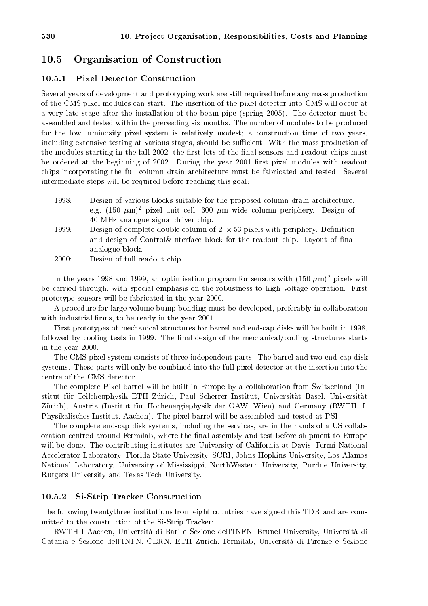#### 10.5Organisation of Construction

#### 10.5.1 Pixel Detector Construction

Several years of development and prototyping work are still required before any mass production of the CMS pixel modules can start. The insertion of the pixel detector into CMS will occur at a very late stage after the installation of the beam pipe (spring 2005). The detector must be assembled and tested within the preceeding six months. The number of modules to be produced for the low luminosity pixel system is relatively modest; a construction time of two years, including extensive testing at various stages, should be sufficient. With the mass production of the modules starting in the fall 2002, the first lots of the final sensors and readout chips must be ordered at the beginning of 2002. During the year 2001 first pixel modules with readout chips incorporating the full column drain architecture must be fabricated and tested. Several intermediate steps will be required before reaching this goal:

- 1998: Design of various blocks suitable for the proposed column drain architecture. e.g.  $(150 \ \mu m)^2$  pixel unit cell, 300  $\mu m$  wide column periphery. Design of 40 MHz analogue signal driver chip.
- 1999: Design of complete double column of 2 53 pixels with periphery. Denition and design of Control&Interface block for the readout chip. Layout of final analogue block.
- 2000: Design of full readout chip.

In the years 1998 and 1999, an optimisation program for sensors with (150  $\mu$ m) pixels will be carried through, with special emphasis on the robustness to high voltage operation. First prototype sensors will be fabricated in the year 2000.

A procedure for large volume bump bonding must be developed, preferably in collaboration with industrial firms, to be ready in the year 2001.

First prototypes of mechanical structures for barrel and end-cap disks will be built in 1998, followed by cooling tests in 1999. The final design of the mechanical/cooling structures starts in the year 2000.

The CMS pixel system consists of three independent parts: The barrel and two end-cap disk systems. These parts will only be combined into the full pixel detector at the insertion into the centre of the CMS detector.

The complete Pixel barrel will be built in Europe by a collaboration from Switzerland (Institut fur Teilchenphysik ETH Zurich, Paul Scherrer Institut, Universitat Basel, Universitat Zürich), Austria (Institut für Hochenergiephysik der OAW, Wien) and Germany (RWTH, I. Physikalisches Institut, Aachen). The pixel barrel will be assembled and tested at PSI.

The complete end-cap disk systems, including the services, are in the hands of a US collaboration centred around Fermilab, where the final assembly and test before shipment to Europe will be done. The contributing institutes are University of California at Davis, Fermi National Accelerator Laboratory, Florida State University{SCRI, Johns Hopkins University, Los Alamos National Laboratory, University of Mississippi, NorthWestern University, Purdue University, Rutgers University and Texas Tech University.

#### 10.5.2 Si-Strip Tracker Construction

The following twentythree institutions from eight countries have signed this TDR and are committed to the construction of the Si-Strip Tracker:

RWTH I Aachen, Universita di Bari e Sezione dell'INFN, Brunel University, Universita di Catania e Sezione dell'INFN, CERN, ETH Zürich, Fermilab, Università di Firenze e Sezione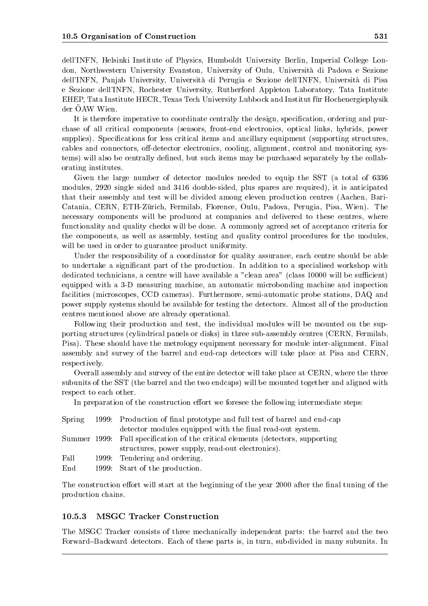dell'INFN, Helsinki Institute of Physics, Humboldt University Berlin, Imperial College London, Northwestern University Evanston, University of Oulu, Universita di Padova e Sezione dell'INFN, Panjab University, Universita di Perugia e Sezione dell'INFN, Universita di Pisa e Sezione dell'INFN, Rochester University, Rutherford Appleton Laboratory, Tata Institute EHEP, Tata Institute HECR, Texas Tech University Lubbock and Institut fur Hochenergiephysik der OAW Wien.

It is therefore imperative to coordinate centrally the design, specification, ordering and purchase of all critical components (sensors, front-end electronics, optical links, hybrids, power supplies). Specifications for less critical items and ancillary equipment (supporting structures, cables and connectors, off-detector electronics, cooling, alignment, control and monitoring systems) will also be centrally defined, but such items may be purchased separately by the collaborating institutes.

Given the large number of detector modules needed to equip the SST (a total of 6336 modules, 2920 single sided and 3416 double-sided, plus spares are required), it is anticipated that their assembly and test will be divided among eleven production centres (Aachen, Bari-Catania, CERN, ETH-Zurich, Fermilab, Florence, Oulu, Padova, Perugia, Pisa, Wien). The necessary components will be produced at companies and delivered to these centres, where functionality and quality checks will be done. A commonly agreed set of acceptance criteria for the components, as well as assembly, testing and quality control procedures for the modules, will be used in order to guarantee product uniformity.

Under the responsibility of a coordinator for quality assurance, each centre should be able to undertake a signicant part of the production. In addition to a specialised workshop with dedicated technicians, a centre will have available a "clean area" (class 10000 will be sufficient) equipped with a 3-D measuring machine, an automatic microbonding machine and inspection facilities (microscopes, CCD cameras). Furthermore, semi-automatic probe stations, DAQ and power supply systems should be available for testing the detectors. Almost all of the production centres mentioned above are already operational.

Following their production and test, the individual modules will be mounted on the supporting structures (cylindrical panels or disks) in three sub-assembly centres (CERN, Fermilab, Pisa). These should have the metrology equipment necessary for module inter-alignment. Final assembly and survey of the barrel and end-cap detectors will take place at Pisa and CERN, respectively.

Overall assembly and survey of the entire detector will take place at CERN, where the three subunits of the SST (the barrel and the two endcaps) will be mounted together and aligned with respect to each other.

In preparation of the construction effort we foresee the following intermediate steps:

|      | Spring 1999: Production of final prototype and full test of barrel and end-cap  |
|------|---------------------------------------------------------------------------------|
|      | detector modules equipped with the final read-out system.                       |
|      | Summer 1999: Full specification of the critical elements (detectors, supporting |
|      | structures, power supply, read-out electronics).                                |
| Fall | 1999: Tendering and ordering.                                                   |
| End  | 1999: Start of the production.                                                  |

The construction effort will start at the beginning of the year 2000 after the final tuning of the production chains.

### 10.5.3 MSGC Tracker Construction

The MSGC Tracker consists of three mechanically independent parts: the barrel and the two Forward{Backward detectors. Each of these parts is, in turn, subdivided in many subunits. In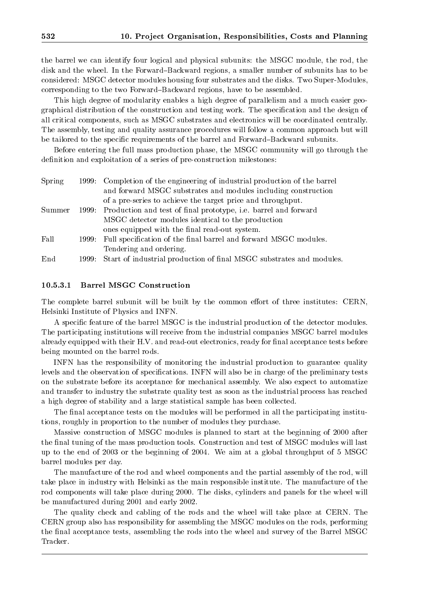the barrel we can identify four logical and physical subunits: the MSGC module, the rod, the disk and the wheel. In the Forward–Backward regions, a smaller number of subunits has to be considered: MSGC detector modules housing four substrates and the disks. Two Super-Modules, corresponding to the two Forward{Backward regions, have to be assembled.

This high degree of modularity enables a high degree of parallelism and a much easier geographical distribution of the construction and testing work. The specication and the design of all critical components, such as MSGC substrates and electronics will be coordinated centrally. The assembly, testing and quality assurance procedures will follow a common approach but will be tailored to the specific requirements of the barrel and Forward–Backward subunits.

Before entering the full mass production phase, the MSGC community will go through the definition and exploitation of a series of pre-construction milestones:

| Spring |       | 1999: Completion of the engineering of industrial production of the barrel |
|--------|-------|----------------------------------------------------------------------------|
|        |       | and forward MSGC substrates and modules including construction             |
|        |       | of a pre-series to achieve the target price and throughput.                |
| Summer |       | 1999: Production and test of final prototype, i.e. barrel and forward      |
|        |       | MSGC detector modules identical to the production                          |
|        |       | ones equipped with the final read-out system.                              |
| Fall   | 1999: | Full specification of the final barrel and forward MSGC modules.           |
|        |       | Tendering and ordering.                                                    |
| End    |       | 1999: Start of industrial production of final MSGC substrates and modules. |

#### 10.5.3.1 Barrel MSGC Construction

The complete barrel subunit will be built by the common effort of three institutes: CERN, Helsinki Institute of Physics and INFN.

A specic feature of the barrel MSGC is the industrial production of the detector modules. The participating institutions will receive from the industrial companies MSGC barrel modules already equipped with their H.V. and read-out electronics, ready for final acceptance tests before being mounted on the barrel rods.

INFN has the responsibility of monitoring the industrial production to guarantee quality levels and the observation of specifications. INFN will also be in charge of the preliminary tests on the substrate before its acceptance for mechanical assembly. We also expect to automatize and transfer to industry the substrate quality test as soon as the industrial process has reached a high degree of stability and a large statistical sample has been collected.

The final acceptance tests on the modules will be performed in all the participating institutions, roughly in proportion to the number of modules they purchase.

Massive construction of MSGC modules is planned to start at the beginning of 2000 after the final tuning of the mass production tools. Construction and test of MSGC modules will last up to the end of 2003 or the beginning of 2004. We aim at a global throughput of 5 MSGC barrel modules per day.

The manufacture of the rod and wheel components and the partial assembly of the rod, will take place in industry with Helsinki as the main responsible institute. The manufacture of the rod components will take place during 2000. The disks, cylinders and panels for the wheel will be manufactured during 2001 and early 2002.

The quality check and cabling of the rods and the wheel will take place at CERN. The CERN group also has responsibility for assembling the MSGC modules on the rods, performing the final acceptance tests, assembling the rods into the wheel and survey of the Barrel MSGC Tracker.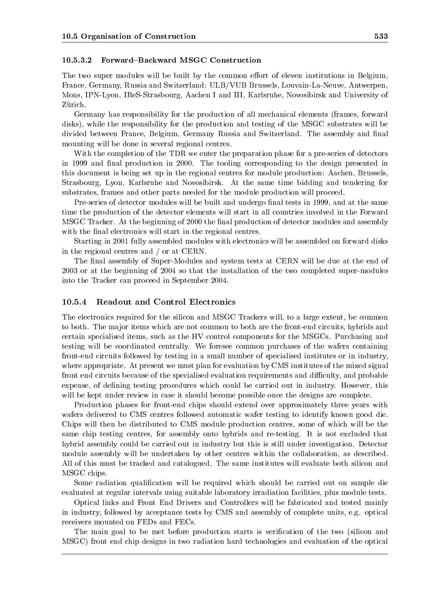#### 10.5.3.2 Forward{Backward MSGC Construction

The two super modules will be built by the common effort of eleven institutions in Belgium, France, Germany, Russia and Switzerland: ULB/VUB Brussels, Louvain-La-Neuve, Antwerpen, Mons, IPN-Lyon, IReS-Strasbourg, Aachen I and III, Karlsruhe, Novosibirsk and University of Zürich.

Germany has responsibility for the production of all mechanical elements (frames, forward disks), while the responsibility for the production and testing of the MSGC substrates will be divided between France, Belgium, Germany Russia and Switzerland. The assembly and final mounting will be done in several regional centres.

With the completion of the TDR we enter the preparation phase for a pre-series of detectors in 1999 and final production in 2000. The tooling corresponding to the design presented in this document is being set up in the regional centres for module production: Aachen, Brussels, Strasbourg, Lyon, Karlsruhe and Novosibirsk. At the same time bidding and tendering for substrates, frames and other parts needed for the module production will proceed.

Pre-series of detector modules will be built and undergo final tests in 1999, and at the same time the production of the detector elements will start in all countries involved in the Forward MSGC Tracker. At the beginning of 2000 the final production of detector modules and assembly with the final electronics will start in the regional centres.

Starting in 2001 fully assembled modules with electronics will be assembled on forward disks in the regional centres and / or at CERN.

The final assembly of Super-Modules and system tests at CERN will be due at the end of 2003 or at the beginning of 2004 so that the installation of the two completed super-modules into the Tracker can proceed in September 2004.

#### 10.5.4 Readout and Control Electronics

The electronics required for the silicon and MSGC Trackers will, to a large extent, be common to both. The major items which are not common to both are the front-end circuits, hybrids and certain specialised items, such as the HV controlcomponents for the MSGCs. Purchasing and testing will be coordinated centrally. We foresee common purchases of the wafers containing front-end circuits followed by testing in a small number of specialised institutes or in industry, where appropriate. At present we must plan for evaluation by CMS institutes of the mixed signal front end circuits because of the specialised evaluation requirements and difficulty, and probable expense, of defining testing procedures which could be carried out in industry. However, this will be kept under review in case it should become possible once the designs are complete.

Production phases for front-end chips should extend over approximately three years with wafers delivered to CMS centres followed automatic wafer testing to identify known good die. Chips will then be distributed to CMS module production centres, some of which willbe the same chip testing centres, for assembly onto hybrids and re-testing. It is not excluded that hybrid assembly could be carried out in industry but this is still under investigation. Detector module assembly will be undertaken by other centres within the collaboration, as described. All of this must be tracked and catalogued. The same institutes will evaluate both silicon and MSGC chips.

Some radiation qualification will be required which should be carried out on sample die evaluated at regular intervals using suitable laboratory irradiation facilities, plus module tests.

Optical links and Front End Drivers and Controllers will be fabricated and tested mainly in industry, followed by acceptance tests by CMS and assembly of complete units, e.g. optical receivers mounted on FEDs and FECs.

The main goal to be met before production starts is verication of the two (silicon and MSGC) front end chip designs in two radiation hard technologies and evaluation of the optical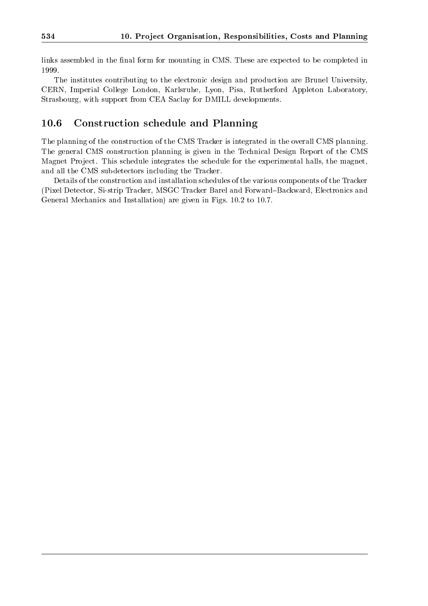links assembled in the final form for mounting in CMS. These are expected to be completed in

The institutes contributing to the electronic design and production are Brunel University, CERN, Imperial College London, Karlsruhe, Lyon, Pisa, Rutherford Appleton Laboratory, Strasbourg, with support from CEA Saclay for DMILL developments.

#### 10.6Construction schedule and Planning

The planning of the construction of the CMS Tracker is integrated in the overall CMS planning. The general CMS construction planning is given in the Technical Design Report of the CMS Magnet Project. This schedule integrates the schedule for the experimental halls, the magnet, and all the CMS subdetectors including the Tracker.

Details of the construction and installation schedules of the various components of the Tracker (Pixel Detector, Si-strip Tracker, MSGC Tracker Barel and Forward{Backward, Electronics and General Mechanics and Installation) are given in Figs. 10.2 to 10.7.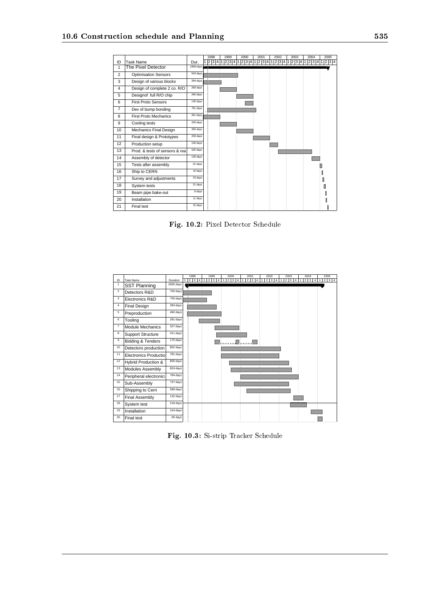|                |                                |           | 1998 | 1999  | 2000 |   | 2001 | 2002  |   | 2003               | 2004  |  | 2005  |
|----------------|--------------------------------|-----------|------|-------|------|---|------|-------|---|--------------------|-------|--|-------|
| ID             | <b>Task Name</b>               | Dur.      | 1234 | 2 3 4 | 234  | 1 | 234  | 2 3 4 | 1 | $\overline{2}$ 3 4 | 2 3 4 |  | 2 3 4 |
| 1              | The Pixel Detector             | 1958 days |      |       |      |   |      |       |   |                    |       |  |       |
| 2              | <b>Optimisation Sensors</b>    | 543 days  |      |       |      |   |      |       |   |                    |       |  |       |
| 3              | Design of various blocks       | 284 days  |      |       |      |   |      |       |   |                    |       |  |       |
| $\overline{4}$ | Design of complete 2 co. R/O   | 260 days  |      |       |      |   |      |       |   |                    |       |  |       |
| 5              | Designof full R/O chip         | 260 days  |      |       |      |   |      |       |   |                    |       |  |       |
| 6              | <b>First Proto Sensors</b>     | 130 days  |      |       |      |   |      |       |   |                    |       |  |       |
| $\overline{7}$ | Dev of bump bonding            | 761 days  |      |       |      |   |      |       |   |                    |       |  |       |
| 8              | <b>First Proto Mechanics</b>   | 261 days  |      |       |      |   |      |       |   |                    |       |  |       |
| 9              | Cooling tests                  | 259 days  |      |       |      |   |      |       |   |                    |       |  |       |
| 10             | Mechanics Final Design         | 260 days  |      |       |      |   |      |       |   |                    |       |  |       |
| 11             | Final design & Prototypes      | 259 days  |      |       |      |   |      |       |   |                    |       |  |       |
| 12             | Production setup               | 128 days  |      |       |      |   |      |       |   |                    |       |  |       |
| 13             | Prod. & tests of sensors & rea | 525 days  |      |       |      |   |      |       |   |                    |       |  |       |
| 14             | Assembly of detector           | 130 days  |      |       |      |   |      |       |   |                    |       |  |       |
| 15             | Tests after assembly           | 31 days   |      |       |      |   |      |       |   |                    |       |  |       |
| 16             | Ship to CERN                   | 10 days   |      |       |      |   |      |       |   |                    |       |  |       |
| 17             | Survey and adjustments         | 23 days   |      |       |      |   |      |       |   |                    |       |  |       |
| 18             | System tests                   | 21 days   |      |       |      |   |      |       |   |                    |       |  |       |
| 19             | Beam pipe bake-out             | 8 days    |      |       |      |   |      |       |   |                    |       |  |       |
| 20             | Installation                   | 11 days   |      |       |      |   |      |       |   |                    |       |  |       |
| 21             | Final test                     | 15 days   |      |       |      |   |      |       |   |                    |       |  |       |

Fig. 10.2: Pixel Detector Schedule

|                |                              |           | 1998                | 1999       |  | 2000       |  | 2001       |  | 2002       |  | 2003       |   | 2004       | 2005                  |
|----------------|------------------------------|-----------|---------------------|------------|--|------------|--|------------|--|------------|--|------------|---|------------|-----------------------|
| ID             | <b>Task Name</b>             | Duration  | $\overline{2}$<br>3 | $2 \mid 3$ |  | $2 \mid 3$ |  | $2 \mid 3$ |  | $2 \mid 3$ |  | $2 \mid 3$ | 4 | $2 \mid 3$ | 3 4<br>$\overline{2}$ |
| 1              | SST Planning                 | 1830 days |                     |            |  |            |  |            |  |            |  |            |   |            |                       |
| $\overline{2}$ | Detectors R&D                | 700 days  |                     |            |  |            |  |            |  |            |  |            |   |            |                       |
| 3              | Electronics R&D              | 700 days  |                     |            |  |            |  |            |  |            |  |            |   |            |                       |
| 4              | Final Design                 | 394 days  |                     |            |  |            |  |            |  |            |  |            |   |            |                       |
| 5              | Preproduction                | 460 days  |                     |            |  |            |  |            |  |            |  |            |   |            |                       |
| 6              | Tooling                      | 281 days  |                     |            |  |            |  |            |  |            |  |            |   |            |                       |
| $\overline{7}$ | Module Mechanics             | 327 days  |                     |            |  |            |  |            |  |            |  |            |   |            |                       |
| 8              | <b>Support Structure</b>     | 411 days  |                     |            |  |            |  |            |  |            |  |            |   |            |                       |
| 9              | <b>Bidding &amp; Tenders</b> | 175 days  |                     |            |  |            |  |            |  |            |  |            |   |            |                       |
| 10             | Detectors production         | 802 days  |                     |            |  |            |  |            |  |            |  |            |   |            |                       |
| 11             | <b>Electronics Productio</b> | 781 days  |                     |            |  |            |  |            |  |            |  |            |   |            |                       |
| 12             | Hybrid Production &          | 805 days  |                     |            |  |            |  |            |  |            |  |            |   |            |                       |
| 13             | Modules Assembly             | 824 days  |                     |            |  |            |  |            |  |            |  |            |   |            |                       |
| 14             | Peripheral electronics       | 784 days  |                     |            |  |            |  |            |  |            |  |            |   |            |                       |
| 15             | Sub-Assembly                 | 737 days  |                     |            |  |            |  |            |  |            |  |            |   |            |                       |
| 16             | Shipping to Cern             | 589 days  |                     |            |  |            |  |            |  |            |  |            |   |            |                       |
| 17             | Final Assembly               | 132 days  |                     |            |  |            |  |            |  |            |  |            |   |            |                       |
| 18             | System test                  | 218 days  |                     |            |  |            |  |            |  |            |  |            |   |            |                       |
| 19             | Installation                 | 154 days  |                     |            |  |            |  |            |  |            |  |            |   |            |                       |
| 20             | Final test                   | 65 days   |                     |            |  |            |  |            |  |            |  |            |   |            |                       |

Fig. 10.3: Si-strip Tracker Schedule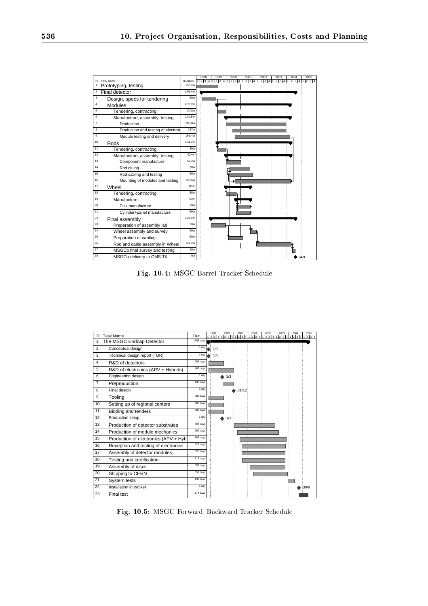

Fig. 10.4: MSGC Barrel Tracker Schedule

| ID             | <b>Task Name</b>                      | Dur.      |   | 1998<br>1234 | 1999<br>1 2 3 4 | 2000  | 2001 | 2002 | 2003 | 2004<br>1 2 3 4 1 2 3 4 1 2 3 4 1 2 3 4 1 2 3 4 1 2 3 4 1 2 3 4 1 2 3 4 | 2005 |
|----------------|---------------------------------------|-----------|---|--------------|-----------------|-------|------|------|------|-------------------------------------------------------------------------|------|
| 1              | The MSGC Endcap Detector              | 1895 days |   |              |                 |       |      |      |      |                                                                         |      |
| $\overline{2}$ | Conceptual design                     | 1 day     |   | 2/3          |                 |       |      |      |      |                                                                         |      |
| 3              | Technical design report (TDR)         | 1 day     |   | 2/3          |                 |       |      |      |      |                                                                         |      |
| 4              | R&D of detectors                      | 286 days  | 7 |              |                 |       |      |      |      |                                                                         |      |
| 5              | R&D of electronics (APV + Hybrids)    | 483 days  |   |              |                 |       |      |      |      |                                                                         |      |
| 6              | Engineering design                    | 1 day     |   |              | 1/3             |       |      |      |      |                                                                         |      |
| $\overline{7}$ | Preproduction                         | 198 days  |   |              |                 |       |      |      |      |                                                                         |      |
| 8              | Final design                          | 1 day     |   |              |                 | 31/12 |      |      |      |                                                                         |      |
| 9              | Tooling                               | 286 days  |   |              |                 |       |      |      |      |                                                                         |      |
| 10             | Setting up of regional centers        | 286 days  |   |              |                 |       |      |      |      |                                                                         |      |
| 11             | Bidding and tenders                   | 286 days  |   |              |                 |       |      |      |      |                                                                         |      |
| 12             | Production setup                      | 1 day     |   |              | 1/3             |       |      |      |      |                                                                         |      |
| 13             | Production of detector substrates     | 782 days  |   |              |                 |       |      |      |      |                                                                         |      |
| 14             | Production of module mechanics        | 782 days  |   |              |                 |       |      |      |      |                                                                         |      |
| 15             | Production of electronics (APV + Hyb) | 888 days  |   |              |                 |       |      |      |      |                                                                         |      |
| 16             | Reception and testing of electronics  | 825 days  |   |              |                 |       |      |      | τ    |                                                                         |      |
| 17             | Assembly of detector modules          | 826 days  |   |              |                 |       |      | Ŧ    | Ŧ    |                                                                         |      |
| 18             | Testing and certification             | 816 days  |   |              |                 |       |      |      | ÷    |                                                                         |      |
| 19             | Assembly of discs                     | 652 days  |   |              |                 |       |      |      | ÷    |                                                                         |      |
| 20             | Shipping to CERN                      | 650 days  |   |              |                 |       |      |      |      |                                                                         |      |
| 21             | System tests                          | 130 days  |   |              |                 |       |      |      |      |                                                                         |      |
| 22             | Installation in tracker               | 1 day     |   |              |                 |       |      |      |      |                                                                         | 30/9 |
| 23             | Final test                            | 174 days  |   |              |                 |       |      |      |      |                                                                         |      |

Fig. 10.5: MSGC Forward{Backward Tracker Schedule